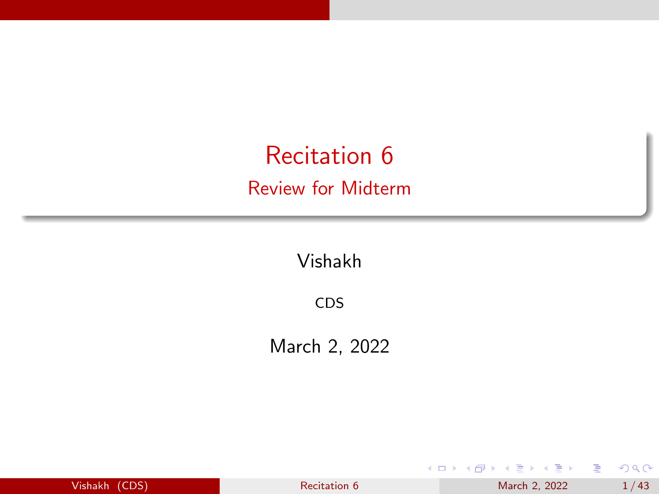<span id="page-0-0"></span>Recitation 6 Review for Midterm

Vishakh

CDS

March 2, 2022

| Vishakh (CDS) |  |  |  |  |
|---------------|--|--|--|--|
|               |  |  |  |  |
|               |  |  |  |  |
|               |  |  |  |  |

[Recitation 6](#page-42-0) March 2, 2022  $1/43$ 

イロト イ部 トイモ トイモト

É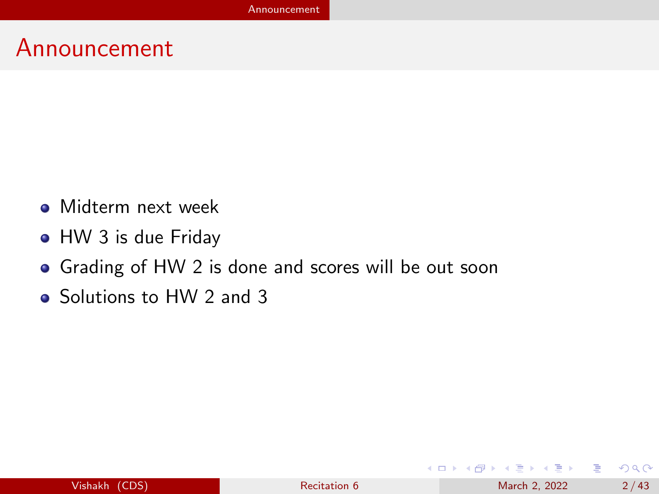### <span id="page-1-0"></span>Announcement

- **Midterm next week**
- HW 3 is due Friday
- Grading of HW 2 is done and scores will be out soon
- Solutions to HW 2 and 3

イロト イ部 トイヨ トイヨト

э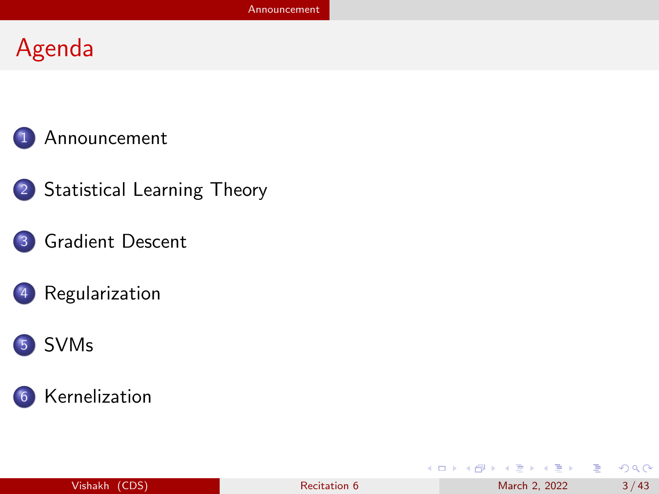# Agenda



2 [Statistical Learning Theory](#page-3-0)

#### 3 [Gradient Descent](#page-19-0)



#### 5 [SVMs](#page-27-0)



|                           |                     |               | .              |
|---------------------------|---------------------|---------------|----------------|
| $\left($ (CDS)<br>Vishakh | <b>Recitation 6</b> | March 2, 2022 | $\Lambda$<br>≖ |

K ロ ▶ K 個 ▶ K 글 ▶ K 글 ▶ │ 글 │ 900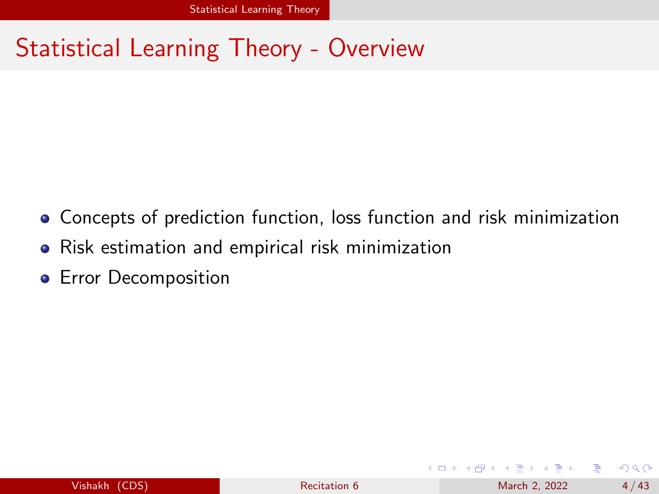## <span id="page-3-0"></span>Statistical Learning Theory - Overview

- Concepts of prediction function, loss function and risk minimization
- Risk estimation and empirical risk minimization
- **•** Error Decomposition

 $QQ$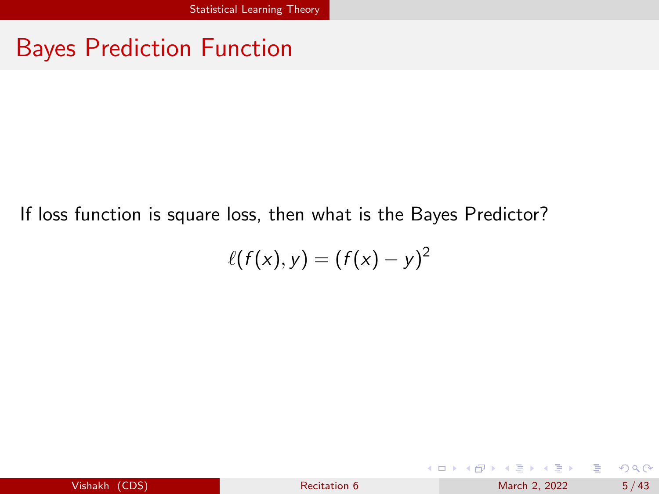# Bayes Prediction Function

If loss function is square loss, then what is the Bayes Predictor?

$$
\ell(f(x),y)=(f(x)-y)^2
$$

| Vishakh (CDS) | Recitation 6 | March 2, 2022 | 5/43 |
|---------------|--------------|---------------|------|
|---------------|--------------|---------------|------|

メロトメ 倒 トメ ミトメ ミト

э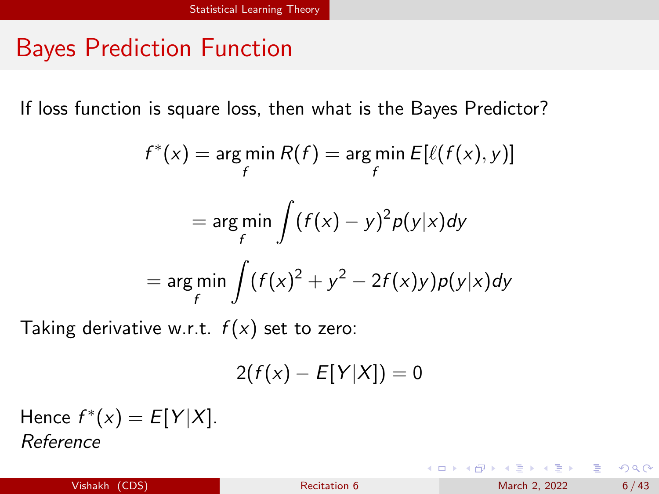# Bayes Prediction Function

If loss function is square loss, then what is the Bayes Predictor?

$$
f^*(x) = \underset{f}{\arg\min} R(f) = \underset{f}{\arg\min} E[\ell(f(x), y)]
$$

$$
= \underset{f}{\arg\min} \int (f(x) - y)^2 p(y|x) dy
$$

$$
= \underset{f}{\arg\min} \int (f(x)^2 + y^2 - 2f(x)y) p(y|x) dy
$$

Taking derivative w.r.t.  $f(x)$  set to zero:

$$
2(f(x) - E[Y|X]) = 0
$$

Hence  $f^*(x) = E[Y|X]$ . [Reference](https://stephens999.github.io/fiveMinuteStats/decision_theory_bayes_rule.html)

イロメ イ部メ イヨメ イヨメー

目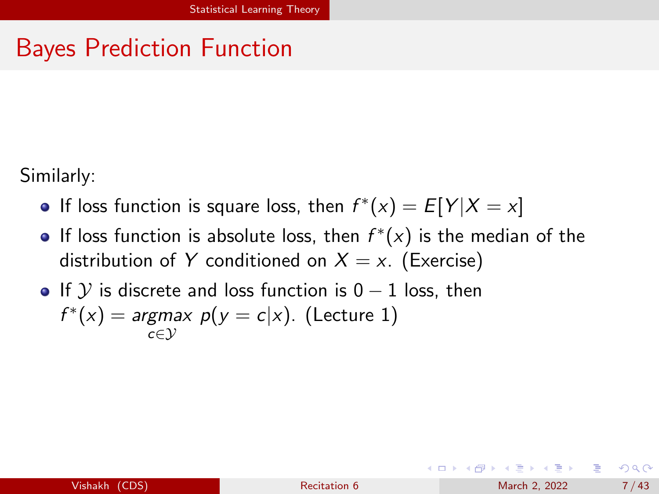# Bayes Prediction Function

Similarly:

- If loss function is square loss, then  $f^*(x) = E[Y|X = x]$
- If loss function is absolute loss, then  $f^*(x)$  is the median of the distribution of Y conditioned on  $X = x$ . (Exercise)
- If Y is discrete and loss function is  $0 1$  loss, then  $f^*(x) = \text{argmax } p(y = c|x)$ . (Lecture 1) c∈Y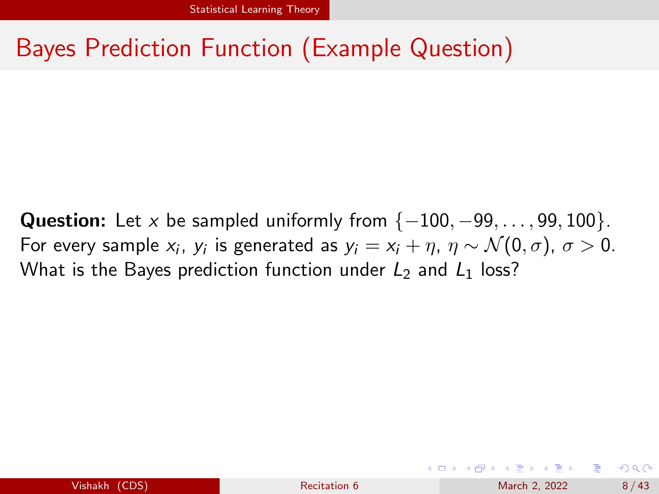# Bayes Prediction Function (Example Question)

**Question:** Let x be sampled uniformly from  $\{-100, -99, \ldots, 99, 100\}$ . For every sample  $x_i$ ,  $y_i$  is generated as  $y_i = x_i + \eta$ ,  $\eta \sim \mathcal{N}(0, \sigma)$ ,  $\sigma > 0$ . What is the Bayes prediction function under  $L_2$  and  $L_1$  loss?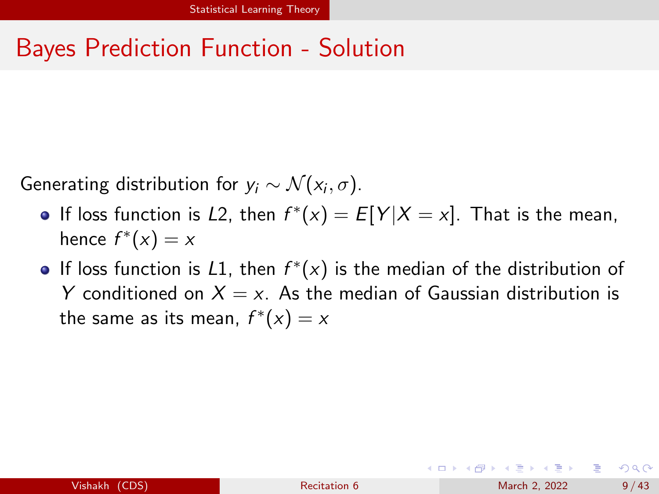# Bayes Prediction Function - Solution

Generating distribution for  $y_i \sim \mathcal{N}(x_i, \sigma)$ .

- If loss function is L2, then  $f^*(x) = E[Y|X = x]$ . That is the mean, hence  $f^*(x) = x$
- If loss function is  $L1$ , then  $f^*(x)$  is the median of the distribution of Y conditioned on  $X = x$ . As the median of Gaussian distribution is the same as its mean,  $f^*(x) = x$

**KONKAPRA BRADE**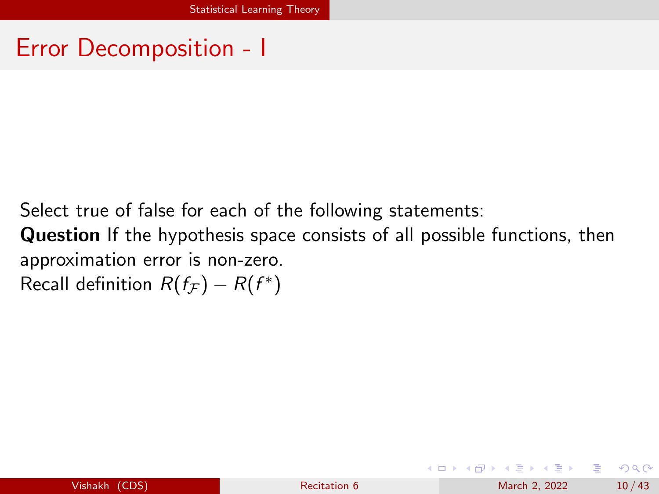Select true of false for each of the following statements:

Question If the hypothesis space consists of all possible functions, then approximation error is non-zero.

Recall definition  $R(f_{\mathcal{F}}) - R(f^*)$ 

イロト イ押 トイヨ トイヨ トー

÷.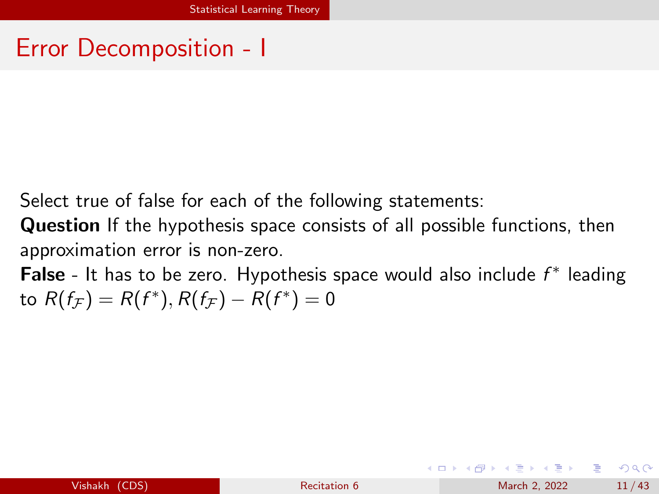Select true of false for each of the following statements:

Question If the hypothesis space consists of all possible functions, then approximation error is non-zero.

False - It has to be zero. Hypothesis space would also include  $f^*$  leading to  $R(f_{\mathcal{F}})=R(f^*), R(f_{\mathcal{F}})-R(f^*)=0$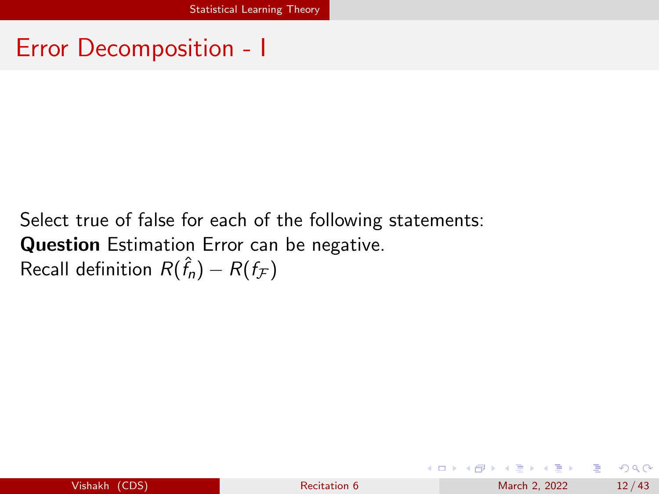### Select true of false for each of the following statements: Question Estimation Error can be negative. Recall definition  $R(\hat{f}_{n})-R(f_{\mathcal{F}})$

イロト イ押 トイヨ トイヨ トー

G.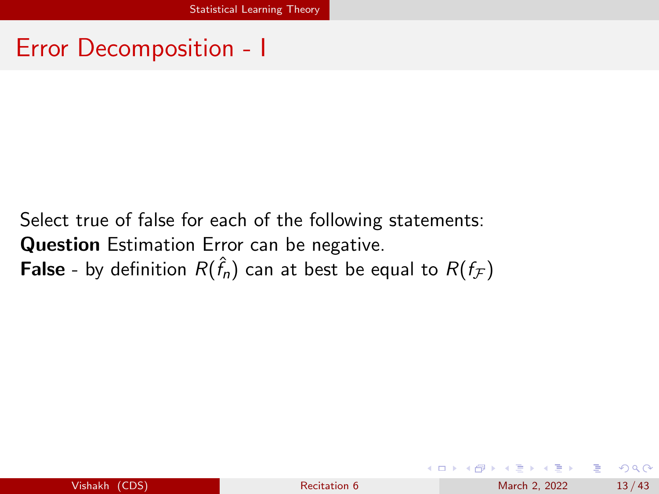Select true of false for each of the following statements: Question Estimation Error can be negative. **False** - by definition  $R(\hat{f}_n)$  can at best be equal to  $R(f_\mathcal{F})$ 

÷.  $\Omega$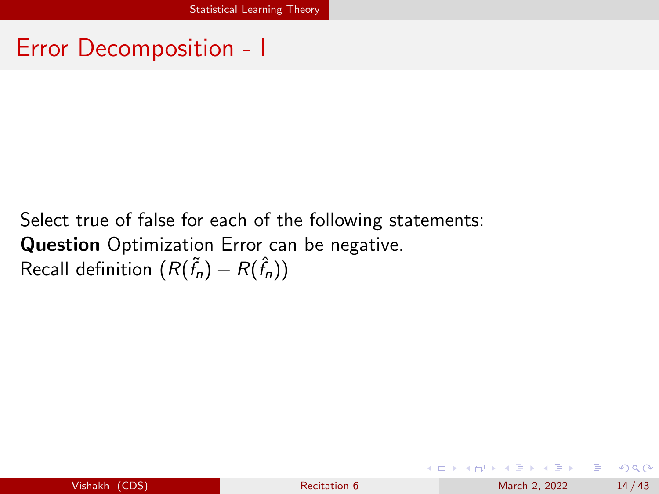### Select true of false for each of the following statements: **Question** Optimization Error can be negative. Recall definition  $(R(\tilde{f}_n) - R(\hat{f}_n))$

イロト イ押 トイヨ トイヨ トー

G.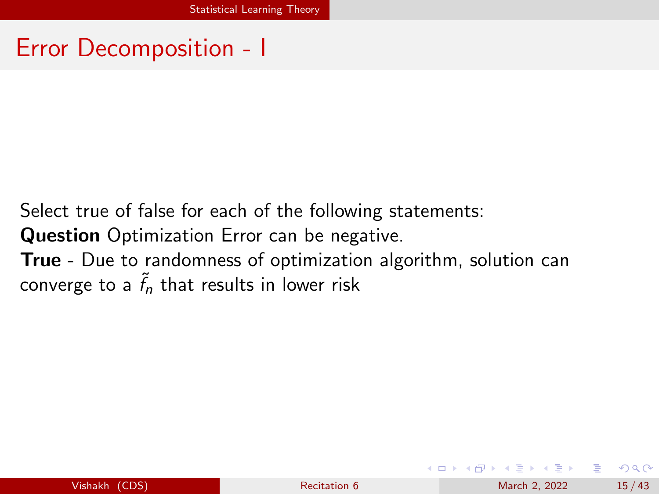Select true of false for each of the following statements: **Question** Optimization Error can be negative. True - Due to randomness of optimization algorithm, solution can converge to a  $\tilde{f}_n$  that results in lower risk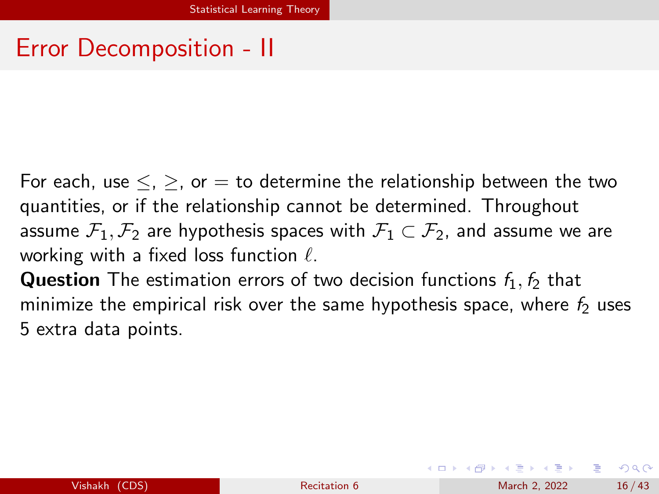For each, use  $\leq$ ,  $\geq$ , or  $=$  to determine the relationship between the two quantities, or if the relationship cannot be determined. Throughout assume  $\mathcal{F}_1, \mathcal{F}_2$  are hypothesis spaces with  $\mathcal{F}_1 \subset \mathcal{F}_2$ , and assume we are working with a fixed loss function  $\ell$ .

**Question** The estimation errors of two decision functions  $f_1$ ,  $f_2$  that minimize the empirical risk over the same hypothesis space, where  $f_2$  uses 5 extra data points.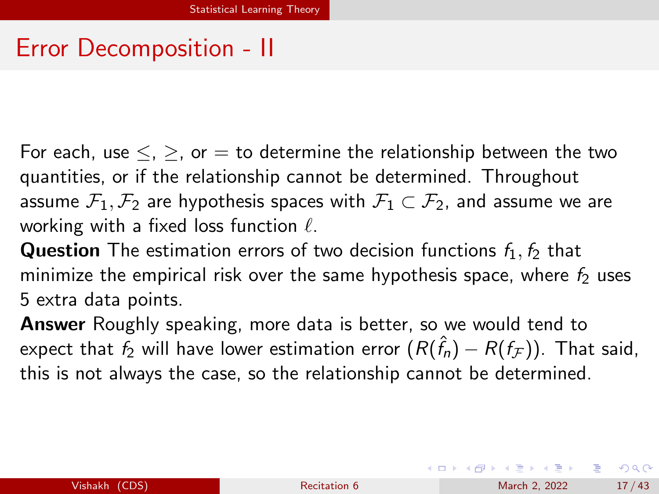For each, use  $\leq, \geq, \text{or} = \text{to determine the relationship between the two}$ quantities, or if the relationship cannot be determined. Throughout assume  $\mathcal{F}_1, \mathcal{F}_2$  are hypothesis spaces with  $\mathcal{F}_1 \subset \mathcal{F}_2$ , and assume we are working with a fixed loss function  $\ell$ .

**Question** The estimation errors of two decision functions  $f_1$ ,  $f_2$  that minimize the empirical risk over the same hypothesis space, where  $f_2$  uses 5 extra data points.

Answer Roughly speaking, more data is better, so we would tend to expect that  $f_2$  will have lower estimation error  $(R(\hat{f}_{n})-R(f_\mathcal{F}))$ . That said, this is not always the case, so the relationship cannot be determined.

**KOD KARD KED KED A BA YOUR**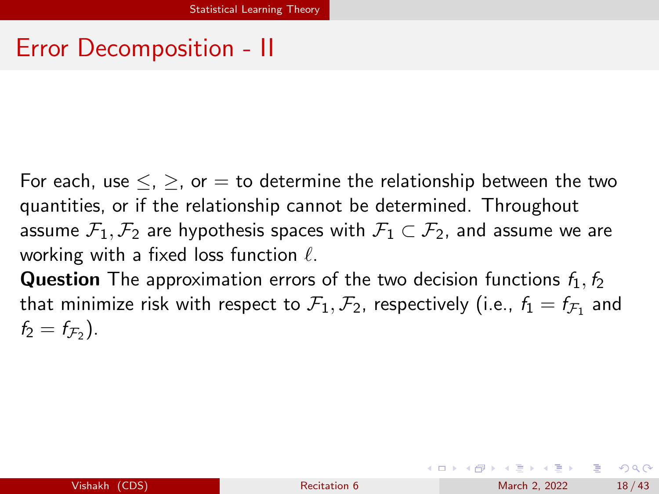For each, use  $\leq$ ,  $\geq$ , or  $=$  to determine the relationship between the two quantities, or if the relationship cannot be determined. Throughout assume  $\mathcal{F}_1, \mathcal{F}_2$  are hypothesis spaces with  $\mathcal{F}_1 \subset \mathcal{F}_2$ , and assume we are working with a fixed loss function  $\ell$ .

**Question** The approximation errors of the two decision functions  $f_1, f_2$ that minimize risk with respect to  $\mathcal{F}_1,\mathcal{F}_2$ , respectively (i.e.,  $f_1=f_{\mathcal{F}_1}$  and  $f_2 = f_{\mathcal{F}_2}$ .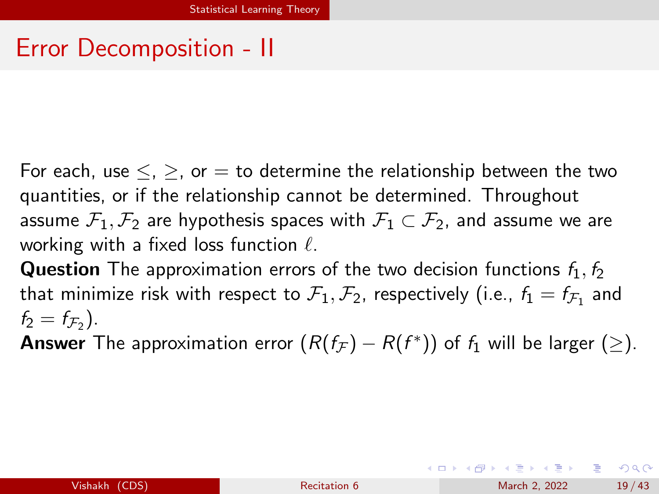For each, use  $\leq$ ,  $\geq$ , or  $=$  to determine the relationship between the two quantities, or if the relationship cannot be determined. Throughout assume  $\mathcal{F}_1, \mathcal{F}_2$  are hypothesis spaces with  $\mathcal{F}_1 \subset \mathcal{F}_2$ , and assume we are working with a fixed loss function  $\ell$ .

**Question** The approximation errors of the two decision functions  $f_1, f_2$ that minimize risk with respect to  $\mathcal{F}_1, \mathcal{F}_2$ , respectively (i.e.,  $f_1 = f_{\mathcal{F}_1}$  and  $f_2 = f_{\mathcal{F}_2}$ .

**Answer** The approximation error  $(R(f_{\mathcal{F}}) - R(f^*))$  of  $f_1$  will be larger  $(\ge)$ .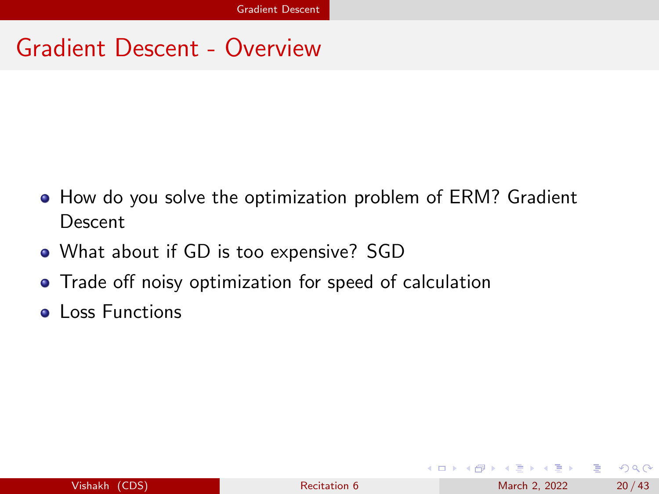# <span id="page-19-0"></span>Gradient Descent - Overview

- How do you solve the optimization problem of ERM? Gradient Descent
- What about if GD is too expensive? SGD
- Trade off noisy optimization for speed of calculation
- **Loss Functions**

÷.  $\Omega$ 

イロト イ押ト イヨト イヨト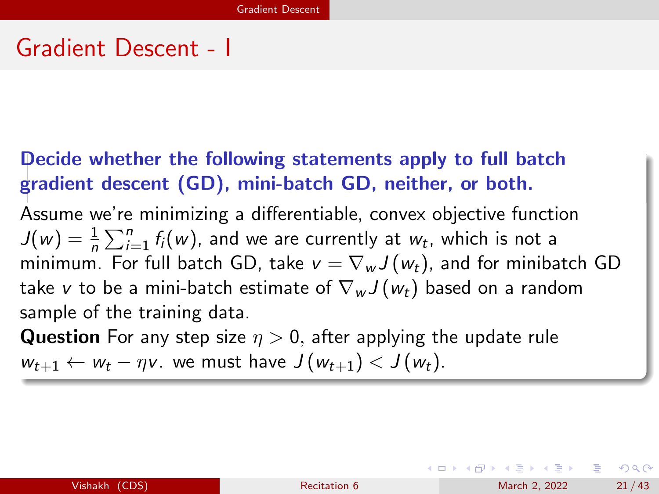### Gradient Descent - I

#### Decide whether the following statements apply to full batch gradient descent (GD), mini-batch GD, neither, or both.

Assume we're minimizing a differentiable, convex objective function  $J(w) = \frac{1}{n} \sum_{i=1}^{n} f_i(w)$ , and we are currently at  $w_t$ , which is not a minimum. For full batch GD, take  $v = \nabla_w J(w_t)$ , and for minibatch GD take v to be a mini-batch estimate of  $\nabla_w J(w_t)$  based on a random sample of the training data.

**Question** For any step size  $\eta > 0$ , after applying the update rule  $w_{t+1} \leftarrow w_t - \eta v$ . we must have  $J(w_{t+1}) < J(w_t)$ .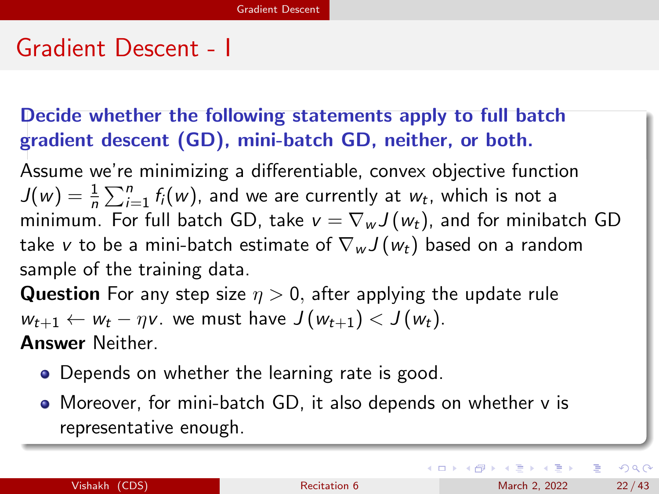# Gradient Descent - I

#### Decide whether the following statements apply to full batch gradient descent (GD), mini-batch GD, neither, or both.

Assume we're minimizing a differentiable, convex objective function  $J(w) = \frac{1}{n} \sum_{i=1}^{n} f_i(w)$ , and we are currently at  $w_t$ , which is not a minimum. For full batch GD, take  $v = \nabla_w J(w_t)$ , and for minibatch GD take v to be a mini-batch estimate of  $\nabla_w J(w_t)$  based on a random sample of the training data.

**Question** For any step size  $\eta > 0$ , after applying the update rule  $w_{t+1} \leftarrow w_t - \eta v$ . we must have  $J(w_{t+1}) < J(w_t)$ . Answer Neither.

- Depends on whether the learning rate is good.
- Moreover, for mini-batch GD, it also depends on whether v is representative enough.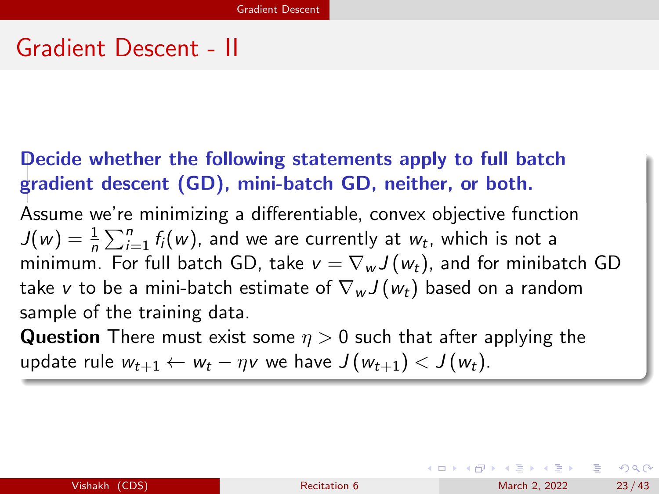### Gradient Descent - II

#### Decide whether the following statements apply to full batch gradient descent (GD), mini-batch GD, neither, or both.

Assume we're minimizing a differentiable, convex objective function  $J(w) = \frac{1}{n} \sum_{i=1}^{n} f_i(w)$ , and we are currently at  $w_t$ , which is not a minimum. For full batch GD, take  $v = \nabla_w J(w_t)$ , and for minibatch GD take v to be a mini-batch estimate of  $\nabla_w J(w_t)$  based on a random sample of the training data.

**Question** There must exist some  $\eta > 0$  such that after applying the update rule  $w_{t+1} \leftarrow w_t - \eta v$  we have  $J(w_{t+1}) < J(w_t)$ .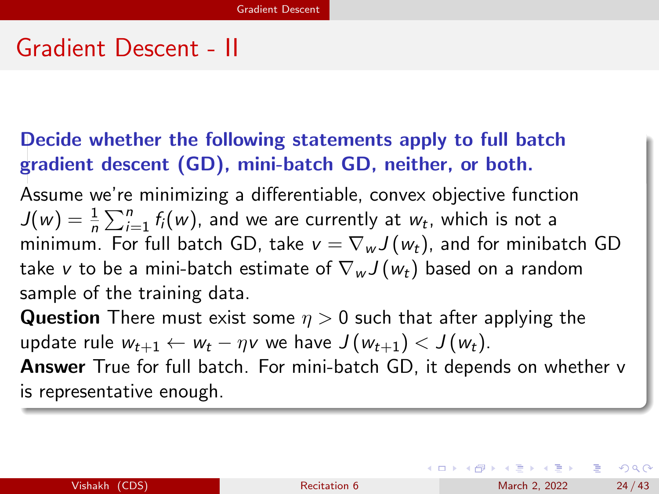# Gradient Descent - II

#### Decide whether the following statements apply to full batch gradient descent (GD), mini-batch GD, neither, or both.

Assume we're minimizing a differentiable, convex objective function  $J(w) = \frac{1}{n} \sum_{i=1}^{n} f_i(w)$ , and we are currently at  $w_t$ , which is not a minimum. For full batch GD, take  $v = \nabla_w J(w_t)$ , and for minibatch GD take v to be a mini-batch estimate of  $\nabla_w J(w_t)$  based on a random sample of the training data.

**Question** There must exist some  $\eta > 0$  such that after applying the update rule  $w_{t+1} \leftarrow w_t - \eta v$  we have  $J(w_{t+1}) < J(w_t)$ .

Answer True for full batch. For mini-batch GD, it depends on whether v is representative enough.

| Vishakh |  | (CDS) |
|---------|--|-------|
|         |  |       |
|         |  |       |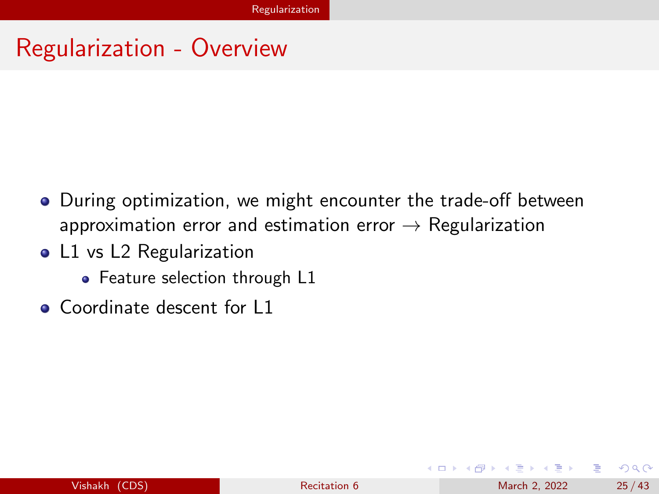# <span id="page-24-0"></span>Regularization - Overview

- **•** During optimization, we might encounter the trade-off between approximation error and estimation error  $\rightarrow$  Regularization
- L1 vs L2 Regularization
	- Feature selection through L1
- Coordinate descent for L1

÷.  $\Omega$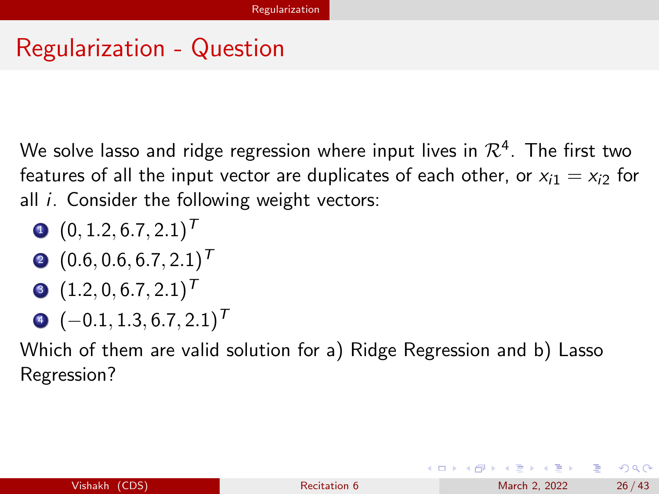# Regularization - Question

We solve lasso and ridge regression where input lives in  $\mathcal{R}^4.$  The first two features of all the input vector are duplicates of each other, or  $x_{i1} = x_{i2}$  for all  $i$ . Consider the following weight vectors:

$$
(\mathbf{0}, 1.2, 6.7, 2.1)^T
$$

- $(0.6, 0.6, 6.7, 2.1)^T$
- $(1.2, 0, 6.7, 2.1)^T$
- $\bullet$  (-0.1, 1.3, 6.7, 2.1)<sup>T</sup>

Which of them are valid solution for a) Ridge Regression and b) Lasso Regression?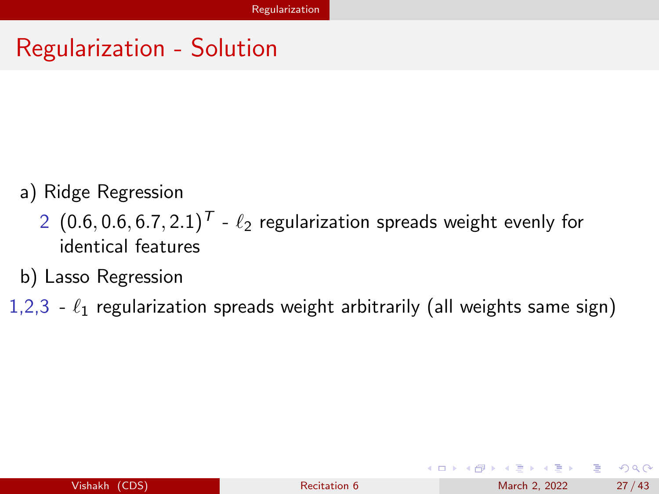# Regularization - Solution

- a) Ridge Regression
	- 2 (0.6, 0.6, 6.7, 2.1)<sup>T</sup>  $\ell_2$  regularization spreads weight evenly for identical features
- b) Lasso Regression
- 1,2,3  $\ell_1$  regularization spreads weight arbitrarily (all weights same sign)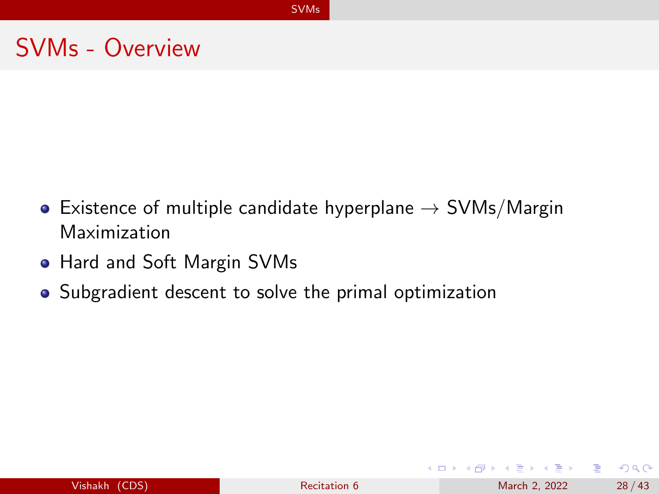# <span id="page-27-0"></span>SVMs - Overview

- Existence of multiple candidate hyperplane  $\rightarrow$  SVMs/Margin Maximization
- Hard and Soft Margin SVMs
- Subgradient descent to solve the primal optimization

| Vishakh (CDS) |  |  |
|---------------|--|--|
|               |  |  |

G.

 $\Omega$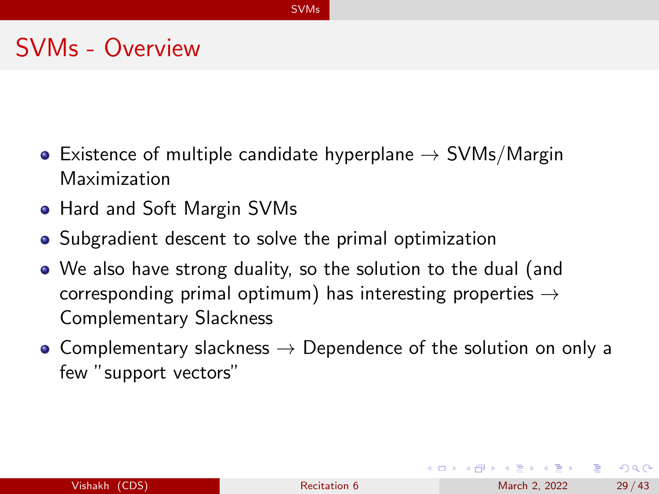# SVMs - Overview

- Existence of multiple candidate hyperplane  $\rightarrow$  SVMs/Margin Maximization
- Hard and Soft Margin SVMs
- Subgradient descent to solve the primal optimization
- We also have strong duality, so the solution to the dual (and corresponding primal optimum) has interesting properties  $\rightarrow$ Complementary Slackness
- Complementary slackness  $\rightarrow$  Dependence of the solution on only a few "support vectors"

イロト イ母 トイヨ トイヨ トー

G.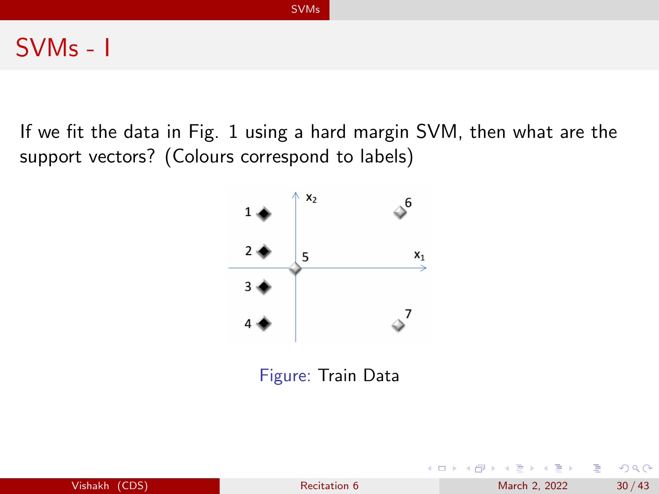#### [SVMs](#page-27-0)

### SVMs - I

If we fit the data in Fig. [1](#page-29-0) using a hard margin SVM, then what are the support vectors? (Colours correspond to labels)



<span id="page-29-0"></span>

| Vishakh (CDS) | Recitation 6 | March 2, 2022 | 30/43 |
|---------------|--------------|---------------|-------|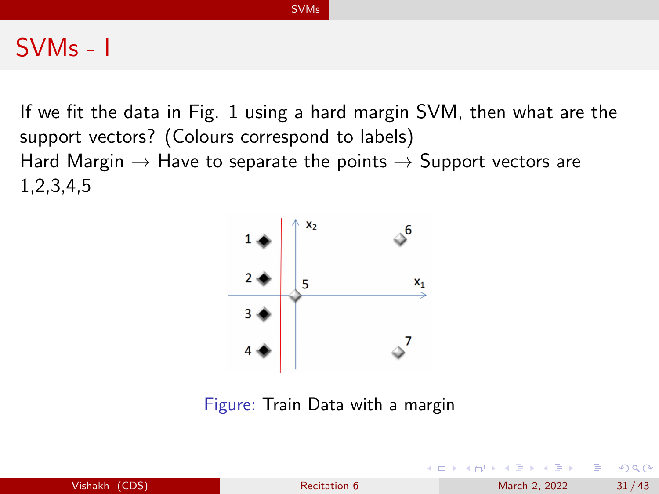#### [SVMs](#page-27-0)

### SVMs - I

If we fit the data in Fig. [1](#page-29-0) using a hard margin SVM, then what are the support vectors? (Colours correspond to labels) Hard Margin  $\rightarrow$  Have to separate the points  $\rightarrow$  Support vectors are 1,2,3,4,5



Figure: Train Data with a margin

|               |                     | .             |       |
|---------------|---------------------|---------------|-------|
| Vishakh (CDS) | <b>Recitation 6</b> | March 2, 2022 | 31/43 |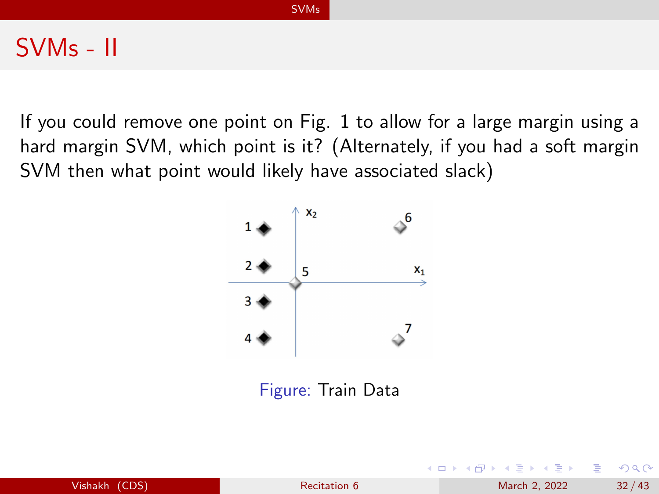### SVMs - II

If you could remove one point on Fig. [1](#page-29-0) to allow for a large margin using a hard margin SVM, which point is it? (Alternately, if you had a soft margin SVM then what point would likely have associated slack)



|               |              | - K □ ▶ K @ ▶ K 로 ▶ K 로 ▶ - 로 - K 9 Q @ L |       |
|---------------|--------------|-------------------------------------------|-------|
| Vishakh (CDS) | Recitation 6 | March 2, 2022                             | 32/43 |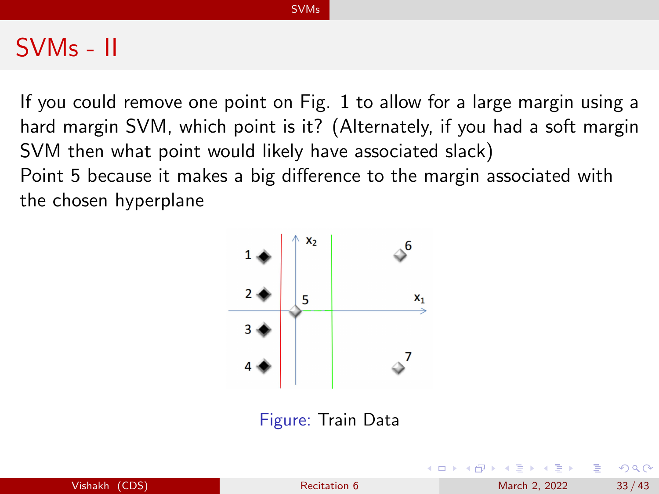### SVMs - II

If you could remove one point on Fig. [1](#page-29-0) to allow for a large margin using a hard margin SVM, which point is it? (Alternately, if you had a soft margin SVM then what point would likely have associated slack) Point 5 because it makes a big difference to the margin associated with the chosen hyperplane



| Vishakh (CDS) |  |  |
|---------------|--|--|
|               |  |  |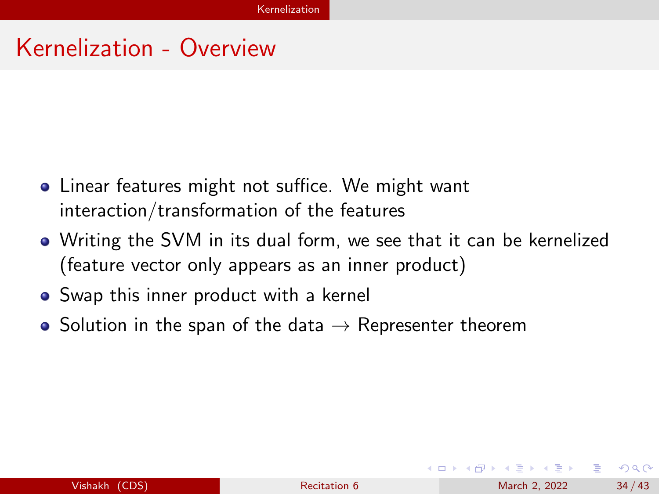### <span id="page-33-0"></span>Kernelization - Overview

- **•** Linear features might not suffice. We might want interaction/transformation of the features
- Writing the SVM in its dual form, we see that it can be kernelized (feature vector only appears as an inner product)
- Swap this inner product with a kernel
- Solution in the span of the data  $\rightarrow$  Representer theorem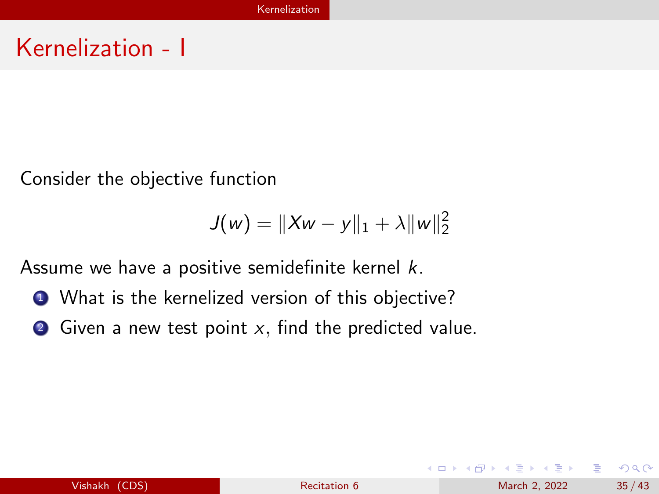### Kernelization - I

Consider the objective function

$$
J(w) = \|Xw - y\|_1 + \lambda \|w\|_2^2
$$

Assume we have a positive semidefinite kernel  $k$ .

- **4** What is the kernelized version of this objective?
- $\bullet$  Given a new test point x, find the predicted value.

イロト イ押ト イヨト イヨト

÷.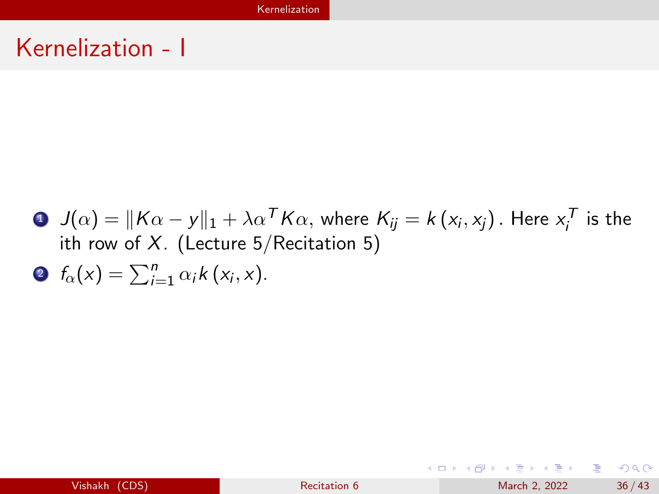# Kernelization - I

\n- \n
$$
J(\alpha) = \|K\alpha - y\|_1 + \lambda \alpha^T K \alpha
$$
, where  $K_{ij} = k(x_i, x_j)$ . Here  $x_i^T$  is the *i*th row of *X*. (Lecture 5/Recitation 5).\n
\n- \n $f_{\alpha}(x) = \sum_{i=1}^n \alpha_i k(x_i, x)$ .\n
\n

K ロ ▶ K 個 ▶ K 로 ▶ K 로 ▶ - 로 - K 9 Q @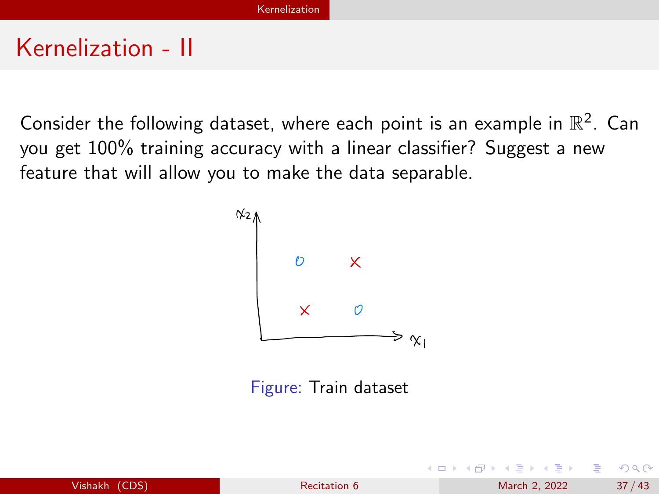### Kernelization - II

Consider the following dataset, where each point is an example in  $\mathbb{R}^2$ . Can you get  $100\%$  training accuracy with a linear classifier? Suggest a new feature that will allow you to make the data separable.



Figure: Train dataset

|               |              |  |               | - K □ ▶ K @ ▶ K 로 ▶ K 로 ▶ - 로 - K 9 Q @ L |
|---------------|--------------|--|---------------|-------------------------------------------|
| Vishakh (CDS) | Recitation 6 |  | March 2, 2022 | 37/43                                     |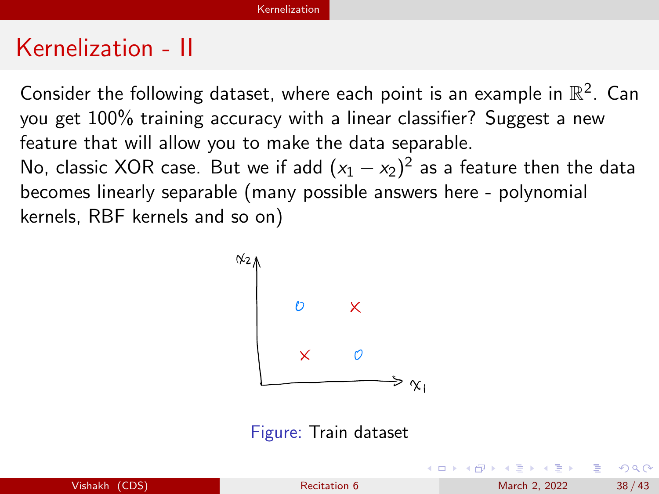### Kernelization - II

Consider the following dataset, where each point is an example in  $\mathbb{R}^2$ . Can you get 100% training accuracy with a linear classifier? Suggest a new feature that will allow you to make the data separable. No, classic XOR case. But we if add  $(x_1-x_2)^2$  as a feature then the data becomes linearly separable (many possible answers here - polynomial kernels, RBF kernels and so on)



Figure: Train dataset

| Vishakh (CDS) |  |
|---------------|--|
|               |  |
|               |  |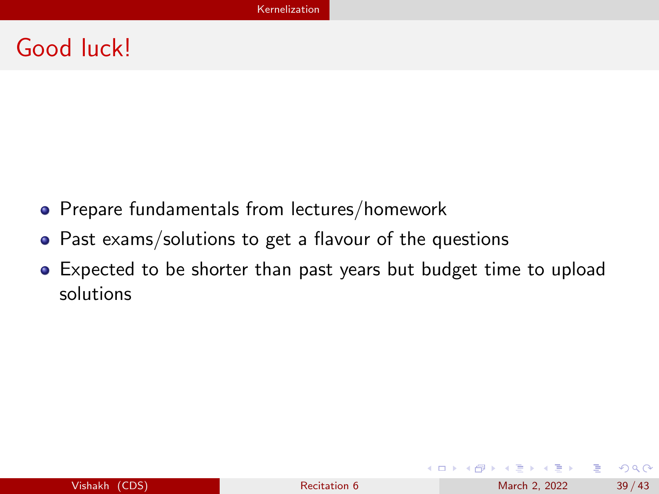# Good luck!

- Prepare fundamentals from lectures/homework
- Past exams/solutions to get a flavour of the questions
- Expected to be shorter than past years but budget time to upload solutions

G.

 $QQ$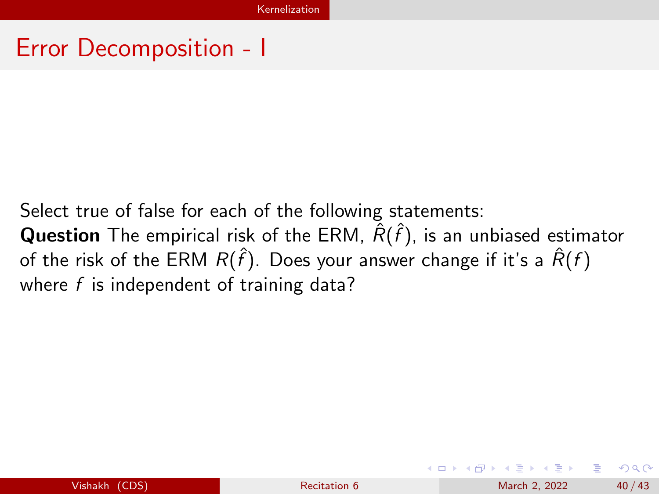Select true of false for each of the following statements: **Question** The empirical risk of the ERM,  $\hat{R}(\hat{f})$ , is an unbiased estimator of the risk of the ERM  $R(\hat{f})$ . Does your answer change if it's a  $\hat{R}(f)$ where  $f$  is independent of training data?

イロト イ押ト イヨト イヨトー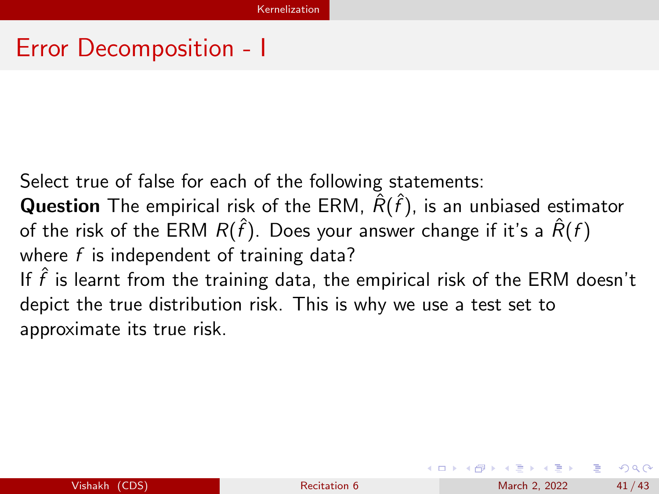Select true of false for each of the following statements:

**Question** The empirical risk of the ERM,  $\hat{R}(\hat{f})$ , is an unbiased estimator of the risk of the ERM  $R(\hat{f})$ . Does your answer change if it's a  $\hat{R}(f)$ where  $f$  is independent of training data? If  $\hat{f}$  is learnt from the training data, the empirical risk of the ERM doesn't depict the true distribution risk. This is why we use a test set to

approximate its true risk.

 $\Omega$ 

イロト イ押ト イヨト イヨトー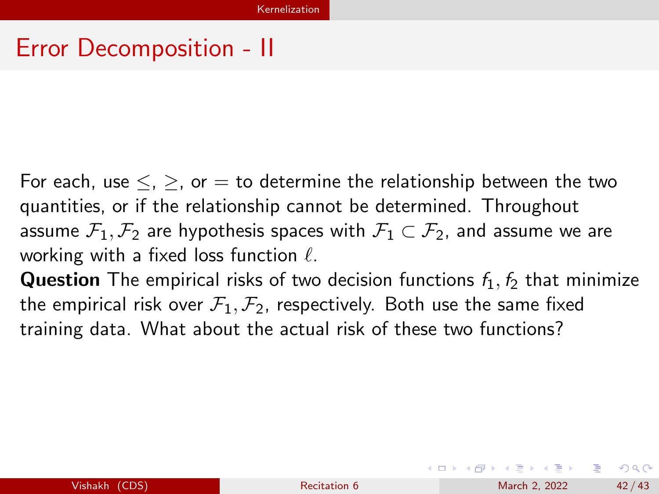For each, use  $\leq$ ,  $\geq$ , or  $=$  to determine the relationship between the two quantities, or if the relationship cannot be determined. Throughout assume  $\mathcal{F}_1, \mathcal{F}_2$  are hypothesis spaces with  $\mathcal{F}_1 \subset \mathcal{F}_2$ , and assume we are working with a fixed loss function  $\ell$ .

**Question** The empirical risks of two decision functions  $f_1$ ,  $f_2$  that minimize the empirical risk over  $\mathcal{F}_1, \mathcal{F}_2$ , respectively. Both use the same fixed training data. What about the actual risk of these two functions?